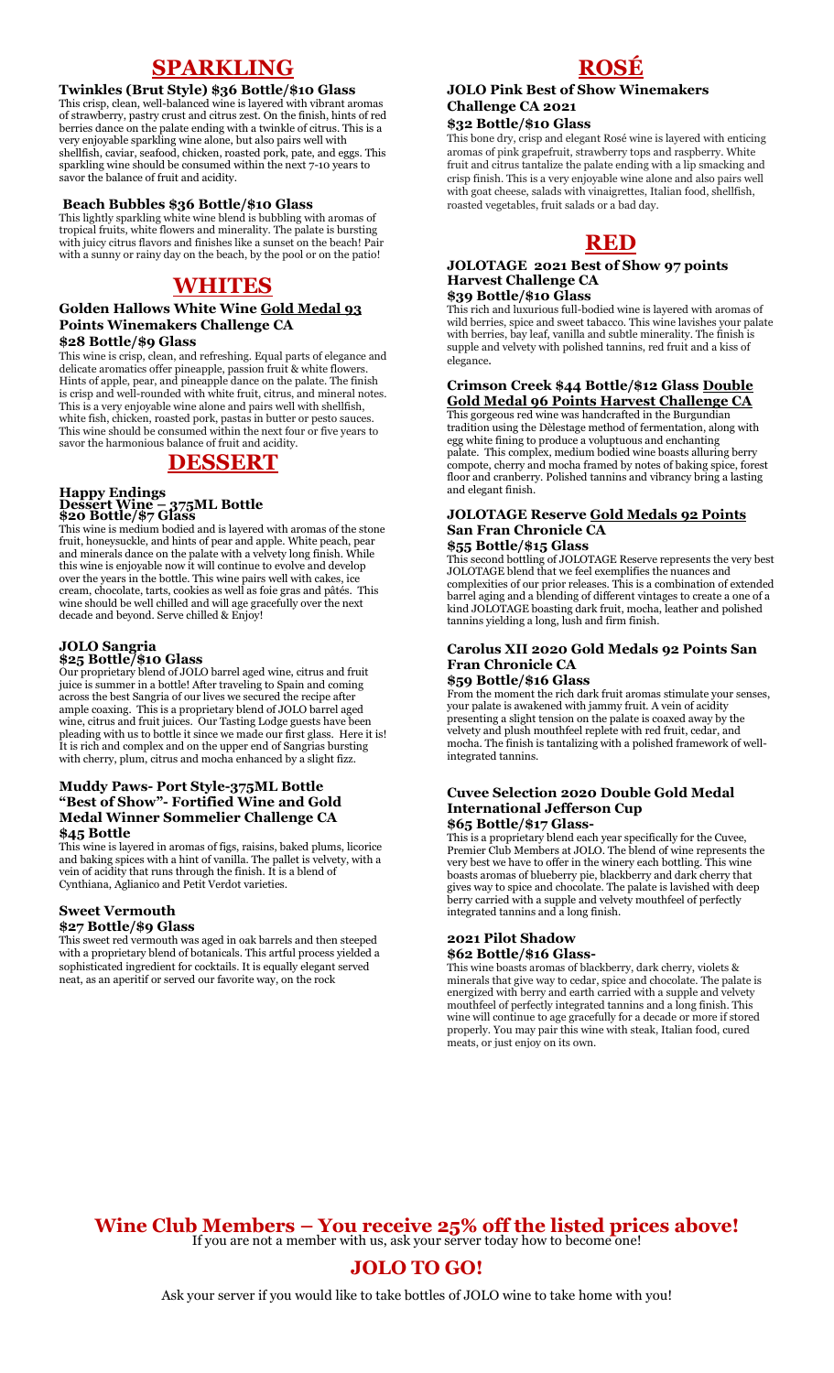# **SPARKLING**

#### **Twinkles (Brut Style) \$36 Bottle/\$10 Glass**

This crisp, clean, well-balanced wine is layered with vibrant aromas of strawberry, pastry crust and citrus zest. On the finish, hints of red berries dance on the palate ending with a twinkle of citrus. This is a very enjoyable sparkling wine alone, but also pairs well with shellfish, caviar, seafood, chicken, roasted pork, pate, and eggs. This sparkling wine should be consumed within the next 7-10 years to savor the balance of fruit and acidity.

#### **Beach Bubbles \$36 Bottle/\$10 Glass**

This lightly sparkling white wine blend is bubbling with aromas of tropical fruits, white flowers and minerality. The palate is bursting with juicy citrus flavors and finishes like a sunset on the beach! Pair with a sunny or rainy day on the beach, by the pool or on the patio!

## **WHITES**

#### **Golden Hallows White Wine Gold Medal 93 Points Winemakers Challenge CA \$28 Bottle/\$9 Glass**

This wine is crisp, clean, and refreshing. Equal parts of elegance and delicate aromatics offer pineapple, passion fruit & white flowers. Hints of apple, pear, and pineapple dance on the palate. The finish is crisp and well-rounded with white fruit, citrus, and mineral notes. This is a very enjoyable wine alone and pairs well with shellfish, white fish, chicken, roasted pork, pastas in butter or pesto sauces. This wine should be consumed within the next four or five years to savor the harmonious balance of fruit and acidity.

## **DESSERT**

#### **Happy Endings Dessert Wine – 375ML Bottle \$20 Bottle/\$7 Glass**

This wine is medium bodied and is layered with aromas of the stone fruit, honeysuckle, and hints of pear and apple. White peach, pear and minerals dance on the palate with a velvety long finish. While this wine is enjoyable now it will continue to evolve and develop over the years in the bottle. This wine pairs well with cakes, ice cream, chocolate, tarts, cookies as well as foie gras and pâtés. This wine should be well chilled and will age gracefully over the next decade and beyond. Serve chilled & Enjoy!

### **JOLO Sangria**

**\$25 Bottle/\$10 Glass** Our proprietary blend of JOLO barrel aged wine, citrus and fruit juice is summer in a bottle! After traveling to Spain and coming across the best Sangria of our lives we secured the recipe after ample coaxing. This is a proprietary blend of JOLO barrel aged wine, citrus and fruit juices. Our Tasting Lodge guests have been pleading with us to bottle it since we made our first glass. Here it is! It is rich and complex and on the upper end of Sangrias bursting with cherry, plum, citrus and mocha enhanced by a slight fizz.

#### **Muddy Paws- Port Style-375ML Bottle "Best of Show"- Fortified Wine and Gold Medal Winner Sommelier Challenge CA \$45 Bottle**

This wine is layered in aromas of figs, raisins, baked plums, licorice and baking spices with a hint of vanilla. The pallet is velvety, with a vein of acidity that runs through the finish. It is a blend of Cynthiana, Aglianico and Petit Verdot varieties.

## **Sweet Vermouth**

#### **\$27 Bottle/\$9 Glass**

This sweet red vermouth was aged in oak barrels and then steeped with a proprietary blend of botanicals. This artful process yielded a sophisticated ingredient for cocktails. It is equally elegant served neat, as an aperitif or served our favorite way, on the rock

## **ROSÉ**

## **JOLO Pink Best of Show Winemakers Challenge CA 2021**

## **\$32 Bottle/\$10 Glass**

This bone dry, crisp and elegant Rosé wine is layered with enticing aromas of pink grapefruit, strawberry tops and raspberry. White fruit and citrus tantalize the palate ending with a lip smacking and crisp finish. This is a very enjoyable wine alone and also pairs well with goat cheese, salads with vinaigrettes, Italian food, shellfish, roasted vegetables, fruit salads or a bad day.

# **RED**

#### **JOLOTAGE 2021 Best of Show 97 points Harvest Challenge CA \$39 Bottle/\$10 Glass**

This rich and luxurious full-bodied wine is layered with aromas of wild berries, spice and sweet tabacco. This wine lavishes your palate with berries, bay leaf, vanilla and subtle minerality. The finish is supple and velvety with polished tannins, red fruit and a kiss of elegance.

## **Crimson Creek \$44 Bottle/\$12 Glass Double Gold Medal 96 Points Harvest Challenge CA**

This gorgeous red wine was handcrafted in the Burgundian tradition using the Dèlestage method of fermentation, along with egg white fining to produce a voluptuous and enchanting palate. This complex, medium bodied wine boasts alluring berry compote, cherry and mocha framed by notes of baking spice, forest floor and cranberry. Polished tannins and vibrancy bring a lasting and elegant finish.

#### **JOLOTAGE Reserve Gold Medals 92 Points San Fran Chronicle CA \$55 Bottle/\$15 Glass**

#### This second bottling of JOLOTAGE Reserve represents the very best JOLOTAGE blend that we feel exemplifies the nuances and complexities of our prior releases. This is a combination of extended barrel aging and a blending of different vintages to create a one of a kind JOLOTAGE boasting dark fruit, mocha, leather and polished tannins yielding a long, lush and firm finish.

#### **Carolus XII 2020 Gold Medals 92 Points San Fran Chronicle CA \$59 Bottle/\$16 Glass**

From the moment the rich dark fruit aromas stimulate your senses, your palate is awakened with jammy fruit. A vein of acidity presenting a slight tension on the palate is coaxed away by the velvety and plush mouthfeel replete with red fruit, cedar, and mocha. The finish is tantalizing with a polished framework of wellintegrated tannins.

#### **Cuvee Selection 2020 Double Gold Medal International Jefferson Cup \$65 Bottle/\$17 Glass-**

This is a proprietary blend each year specifically for the Cuvee, Premier Club Members at JOLO. The blend of wine represents the very best we have to offer in the winery each bottling. This wine boasts aromas of blueberry pie, blackberry and dark cherry that gives way to spice and chocolate. The palate is lavished with deep berry carried with a supple and velvety mouthfeel of perfectly integrated tannins and a long finish.

# **2021 Pilot Shadow**

**\$62 Bottle/\$16 Glass-**

This wine boasts aromas of blackberry, dark cherry, violets & minerals that give way to cedar, spice and chocolate. The palate is energized with berry and earth carried with a supple and velvety mouthfeel of perfectly integrated tannins and a long finish. This wine will continue to age gracefully for a decade or more if stored properly. You may pair this wine with steak, Italian food, cured meats, or just enjoy on its own.

**Wine Club Members – You receive 25% off the listed prices above!** If you are not a member with us, ask your server today how to become one!

# **JOLO TO GO!**

Ask your server if you would like to take bottles of JOLO wine to take home with you!